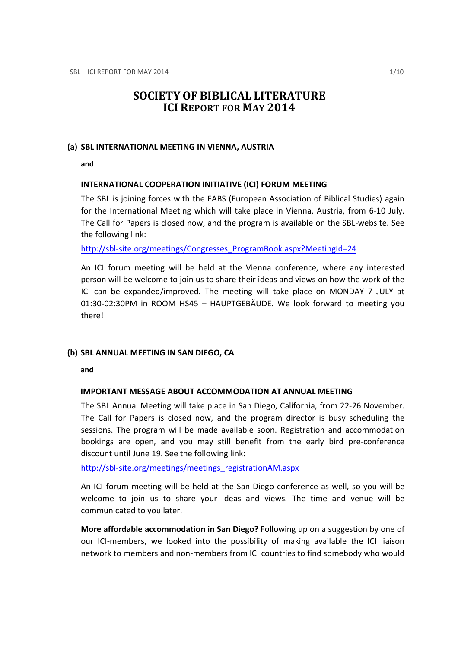# SOCIETY OF BIBLICAL LITERATURE ICI REPORT FOR MAY 2014

#### (a) SBL INTERNATIONAL MEETING IN VIENNA, AUSTRIA

and

# INTERNATIONAL COOPERATION INITIATIVE (ICI) FORUM MEETING

The SBL is joining forces with the EABS (European Association of Biblical Studies) again for the International Meeting which will take place in Vienna, Austria, from 6-10 July. The Call for Papers is closed now, and the program is available on the SBL-website. See the following link:

http://sbl-site.org/meetings/Congresses\_ProgramBook.aspx?MeetingId=24

An ICI forum meeting will be held at the Vienna conference, where any interested person will be welcome to join us to share their ideas and views on how the work of the ICI can be expanded/improved. The meeting will take place on MONDAY 7 JULY at 01:30-02:30PM in ROOM HS45 – HAUPTGEBÄUDE. We look forward to meeting you there!

#### (b) SBL ANNUAL MEETING IN SAN DIEGO, CA

and

# IMPORTANT MESSAGE ABOUT ACCOMMODATION AT ANNUAL MEETING

The SBL Annual Meeting will take place in San Diego, California, from 22-26 November. The Call for Papers is closed now, and the program director is busy scheduling the sessions. The program will be made available soon. Registration and accommodation bookings are open, and you may still benefit from the early bird pre-conference discount until June 19. See the following link:

http://sbl-site.org/meetings/meetings\_registrationAM.aspx

An ICI forum meeting will be held at the San Diego conference as well, so you will be welcome to join us to share your ideas and views. The time and venue will be communicated to you later.

More affordable accommodation in San Diego? Following up on a suggestion by one of our ICI-members, we looked into the possibility of making available the ICI liaison network to members and non-members from ICI countries to find somebody who would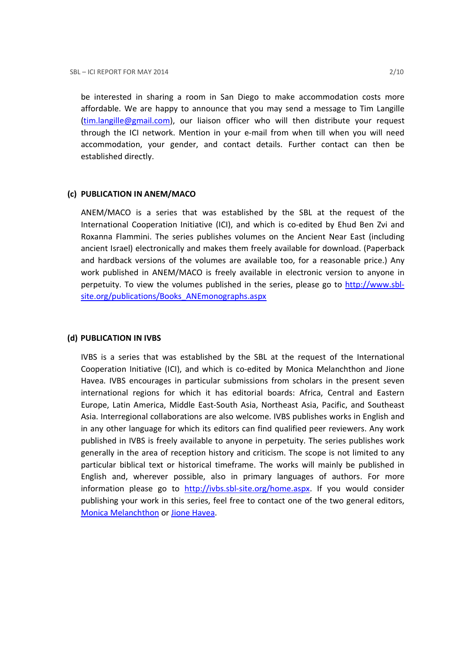be interested in sharing a room in San Diego to make accommodation costs more affordable. We are happy to announce that you may send a message to Tim Langille (tim.langille@gmail.com), our liaison officer who will then distribute your request through the ICI network. Mention in your e-mail from when till when you will need accommodation, your gender, and contact details. Further contact can then be established directly.

#### (c) PUBLICATION IN ANEM/MACO

ANEM/MACO is a series that was established by the SBL at the request of the International Cooperation Initiative (ICI), and which is co-edited by Ehud Ben Zvi and Roxanna Flammini. The series publishes volumes on the Ancient Near East (including ancient Israel) electronically and makes them freely available for download. (Paperback and hardback versions of the volumes are available too, for a reasonable price.) Any work published in ANEM/MACO is freely available in electronic version to anyone in perpetuity. To view the volumes published in the series, please go to http://www.sblsite.org/publications/Books\_ANEmonographs.aspx

#### (d) PUBLICATION IN IVBS

IVBS is a series that was established by the SBL at the request of the International Cooperation Initiative (ICI), and which is co-edited by Monica Melanchthon and Jione Havea. IVBS encourages in particular submissions from scholars in the present seven international regions for which it has editorial boards: Africa, Central and Eastern Europe, Latin America, Middle East-South Asia, Northeast Asia, Pacific, and Southeast Asia. Interregional collaborations are also welcome. IVBS publishes works in English and in any other language for which its editors can find qualified peer reviewers. Any work published in IVBS is freely available to anyone in perpetuity. The series publishes work generally in the area of reception history and criticism. The scope is not limited to any particular biblical text or historical timeframe. The works will mainly be published in English and, wherever possible, also in primary languages of authors. For more information please go to http://ivbs.sbl-site.org/home.aspx. If you would consider publishing your work in this series, feel free to contact one of the two general editors, Monica Melanchthon or Jione Havea.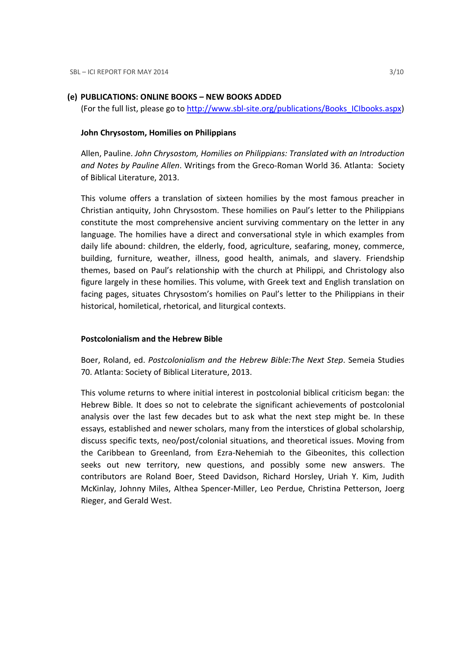#### (e) PUBLICATIONS: ONLINE BOOKS – NEW BOOKS ADDED

(For the full list, please go to http://www.sbl-site.org/publications/Books\_ICIbooks.aspx)

#### John Chrysostom, Homilies on Philippians

Allen, Pauline. John Chrysostom, Homilies on Philippians: Translated with an Introduction and Notes by Pauline Allen. Writings from the Greco-Roman World 36. Atlanta: Society of Biblical Literature, 2013.

This volume offers a translation of sixteen homilies by the most famous preacher in Christian antiquity, John Chrysostom. These homilies on Paul's letter to the Philippians constitute the most comprehensive ancient surviving commentary on the letter in any language. The homilies have a direct and conversational style in which examples from daily life abound: children, the elderly, food, agriculture, seafaring, money, commerce, building, furniture, weather, illness, good health, animals, and slavery. Friendship themes, based on Paul's relationship with the church at Philippi, and Christology also figure largely in these homilies. This volume, with Greek text and English translation on facing pages, situates Chrysostom's homilies on Paul's letter to the Philippians in their historical, homiletical, rhetorical, and liturgical contexts.

### Postcolonialism and the Hebrew Bible

Boer, Roland, ed. Postcolonialism and the Hebrew Bible:The Next Step. Semeia Studies 70. Atlanta: Society of Biblical Literature, 2013.

This volume returns to where initial interest in postcolonial biblical criticism began: the Hebrew Bible. It does so not to celebrate the significant achievements of postcolonial analysis over the last few decades but to ask what the next step might be. In these essays, established and newer scholars, many from the interstices of global scholarship, discuss specific texts, neo/post/colonial situations, and theoretical issues. Moving from the Caribbean to Greenland, from Ezra-Nehemiah to the Gibeonites, this collection seeks out new territory, new questions, and possibly some new answers. The contributors are Roland Boer, Steed Davidson, Richard Horsley, Uriah Y. Kim, Judith McKinlay, Johnny Miles, Althea Spencer-Miller, Leo Perdue, Christina Petterson, Joerg Rieger, and Gerald West.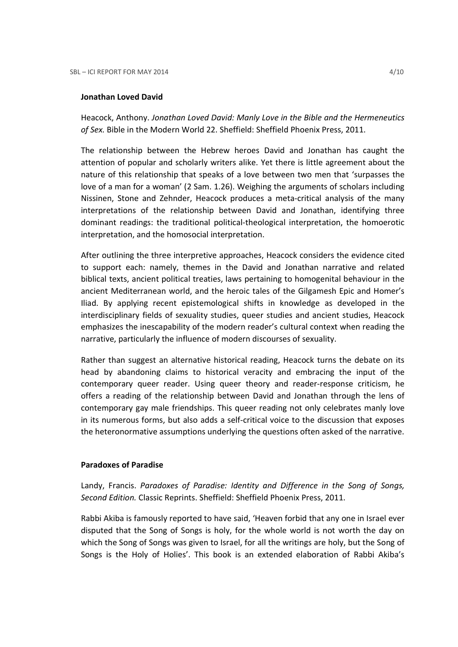#### Jonathan Loved David

Heacock, Anthony. Jonathan Loved David: Manly Love in the Bible and the Hermeneutics of Sex. Bible in the Modern World 22. Sheffield: Sheffield Phoenix Press, 2011.

The relationship between the Hebrew heroes David and Jonathan has caught the attention of popular and scholarly writers alike. Yet there is little agreement about the nature of this relationship that speaks of a love between two men that 'surpasses the love of a man for a woman' (2 Sam. 1.26). Weighing the arguments of scholars including Nissinen, Stone and Zehnder, Heacock produces a meta-critical analysis of the many interpretations of the relationship between David and Jonathan, identifying three dominant readings: the traditional political-theological interpretation, the homoerotic interpretation, and the homosocial interpretation.

After outlining the three interpretive approaches, Heacock considers the evidence cited to support each: namely, themes in the David and Jonathan narrative and related biblical texts, ancient political treaties, laws pertaining to homogenital behaviour in the ancient Mediterranean world, and the heroic tales of the Gilgamesh Epic and Homer's Iliad. By applying recent epistemological shifts in knowledge as developed in the interdisciplinary fields of sexuality studies, queer studies and ancient studies, Heacock emphasizes the inescapability of the modern reader's cultural context when reading the narrative, particularly the influence of modern discourses of sexuality.

Rather than suggest an alternative historical reading, Heacock turns the debate on its head by abandoning claims to historical veracity and embracing the input of the contemporary queer reader. Using queer theory and reader-response criticism, he offers a reading of the relationship between David and Jonathan through the lens of contemporary gay male friendships. This queer reading not only celebrates manly love in its numerous forms, but also adds a self-critical voice to the discussion that exposes the heteronormative assumptions underlying the questions often asked of the narrative.

### Paradoxes of Paradise

Landy, Francis. Paradoxes of Paradise: Identity and Difference in the Song of Songs, Second Edition. Classic Reprints. Sheffield: Sheffield Phoenix Press, 2011.

Rabbi Akiba is famously reported to have said, 'Heaven forbid that any one in Israel ever disputed that the Song of Songs is holy, for the whole world is not worth the day on which the Song of Songs was given to Israel, for all the writings are holy, but the Song of Songs is the Holy of Holies'. This book is an extended elaboration of Rabbi Akiba's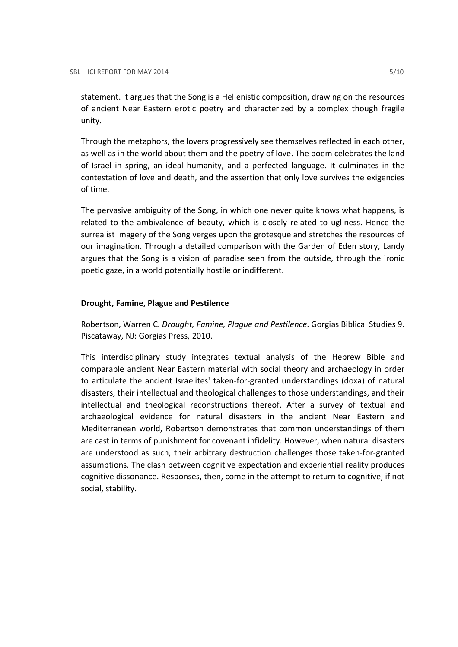statement. It argues that the Song is a Hellenistic composition, drawing on the resources of ancient Near Eastern erotic poetry and characterized by a complex though fragile unity.

Through the metaphors, the lovers progressively see themselves reflected in each other, as well as in the world about them and the poetry of love. The poem celebrates the land of Israel in spring, an ideal humanity, and a perfected language. It culminates in the contestation of love and death, and the assertion that only love survives the exigencies of time.

The pervasive ambiguity of the Song, in which one never quite knows what happens, is related to the ambivalence of beauty, which is closely related to ugliness. Hence the surrealist imagery of the Song verges upon the grotesque and stretches the resources of our imagination. Through a detailed comparison with the Garden of Eden story, Landy argues that the Song is a vision of paradise seen from the outside, through the ironic poetic gaze, in a world potentially hostile or indifferent.

### Drought, Famine, Plague and Pestilence

Robertson, Warren C. Drought, Famine, Plague and Pestilence. Gorgias Biblical Studies 9. Piscataway, NJ: Gorgias Press, 2010.

This interdisciplinary study integrates textual analysis of the Hebrew Bible and comparable ancient Near Eastern material with social theory and archaeology in order to articulate the ancient Israelites' taken-for-granted understandings (doxa) of natural disasters, their intellectual and theological challenges to those understandings, and their intellectual and theological reconstructions thereof. After a survey of textual and archaeological evidence for natural disasters in the ancient Near Eastern and Mediterranean world, Robertson demonstrates that common understandings of them are cast in terms of punishment for covenant infidelity. However, when natural disasters are understood as such, their arbitrary destruction challenges those taken-for-granted assumptions. The clash between cognitive expectation and experiential reality produces cognitive dissonance. Responses, then, come in the attempt to return to cognitive, if not social, stability.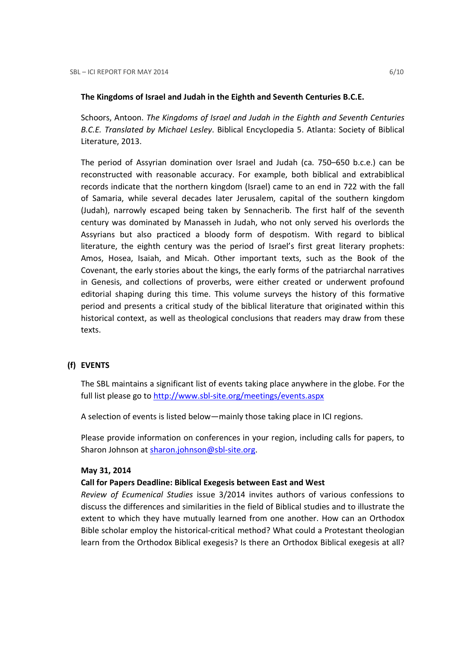#### The Kingdoms of Israel and Judah in the Eighth and Seventh Centuries B.C.E.

Schoors, Antoon. The Kingdoms of Israel and Judah in the Eighth and Seventh Centuries B.C.E. Translated by Michael Lesley. Biblical Encyclopedia 5. Atlanta: Society of Biblical Literature, 2013.

The period of Assyrian domination over Israel and Judah (ca. 750–650 b.c.e.) can be reconstructed with reasonable accuracy. For example, both biblical and extrabiblical records indicate that the northern kingdom (Israel) came to an end in 722 with the fall of Samaria, while several decades later Jerusalem, capital of the southern kingdom (Judah), narrowly escaped being taken by Sennacherib. The first half of the seventh century was dominated by Manasseh in Judah, who not only served his overlords the Assyrians but also practiced a bloody form of despotism. With regard to biblical literature, the eighth century was the period of Israel's first great literary prophets: Amos, Hosea, Isaiah, and Micah. Other important texts, such as the Book of the Covenant, the early stories about the kings, the early forms of the patriarchal narratives in Genesis, and collections of proverbs, were either created or underwent profound editorial shaping during this time. This volume surveys the history of this formative period and presents a critical study of the biblical literature that originated within this historical context, as well as theological conclusions that readers may draw from these texts.

# (f) EVENTS

The SBL maintains a significant list of events taking place anywhere in the globe. For the full list please go to http://www.sbl-site.org/meetings/events.aspx

A selection of events is listed below—mainly those taking place in ICI regions.

Please provide information on conferences in your region, including calls for papers, to Sharon Johnson at sharon.johnson@sbl-site.org.

### May 31, 2014

### Call for Papers Deadline: Biblical Exegesis between East and West

Review of Ecumenical Studies issue 3/2014 invites authors of various confessions to discuss the differences and similarities in the field of Biblical studies and to illustrate the extent to which they have mutually learned from one another. How can an Orthodox Bible scholar employ the historical-critical method? What could a Protestant theologian learn from the Orthodox Biblical exegesis? Is there an Orthodox Biblical exegesis at all?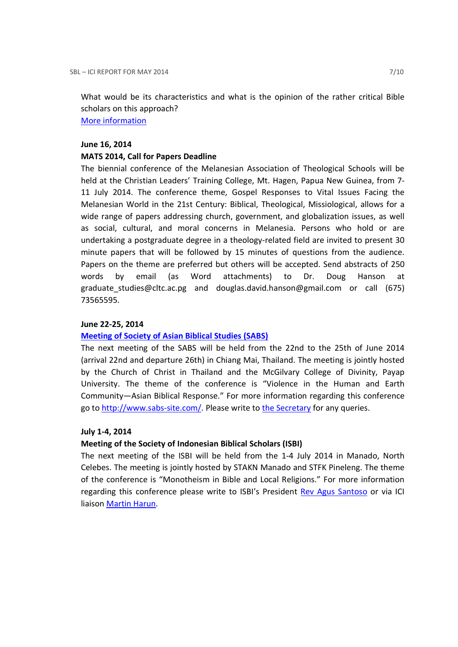What would be its characteristics and what is the opinion of the rather critical Bible scholars on this approach? More information

#### June 16, 2014

#### MATS 2014, Call for Papers Deadline

The biennial conference of the Melanesian Association of Theological Schools will be held at the Christian Leaders' Training College, Mt. Hagen, Papua New Guinea, from 7- 11 July 2014. The conference theme, Gospel Responses to Vital Issues Facing the Melanesian World in the 21st Century: Biblical, Theological, Missiological, allows for a wide range of papers addressing church, government, and globalization issues, as well as social, cultural, and moral concerns in Melanesia. Persons who hold or are undertaking a postgraduate degree in a theology-related field are invited to present 30 minute papers that will be followed by 15 minutes of questions from the audience. Papers on the theme are preferred but others will be accepted. Send abstracts of 250 words by email (as Word attachments) to Dr. Doug Hanson at graduate\_studies@cltc.ac.pg and douglas.david.hanson@gmail.com or call (675) 73565595.

# June 22-25, 2014

### Meeting of Society of Asian Biblical Studies (SABS)

The next meeting of the SABS will be held from the 22nd to the 25th of June 2014 (arrival 22nd and departure 26th) in Chiang Mai, Thailand. The meeting is jointly hosted by the Church of Christ in Thailand and the McGilvary College of Divinity, Payap University. The theme of the conference is "Violence in the Human and Earth Community—Asian Biblical Response." For more information regarding this conference go to http://www.sabs-site.com/. Please write to the Secretary for any queries.

### July 1-4, 2014

### Meeting of the Society of Indonesian Biblical Scholars (ISBI)

The next meeting of the ISBI will be held from the 1-4 July 2014 in Manado, North Celebes. The meeting is jointly hosted by STAKN Manado and STFK Pineleng. The theme of the conference is "Monotheism in Bible and Local Religions." For more information regarding this conference please write to ISBI's President Rev Agus Santoso or via ICI liaison Martin Harun.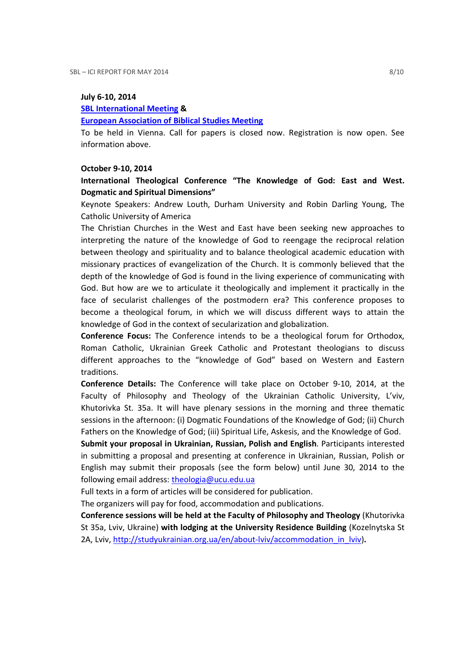#### July 6-10, 2014

#### SBL International Meeting &

#### European Association of Biblical Studies Meeting

To be held in Vienna. Call for papers is closed now. Registration is now open. See information above.

#### October 9-10, 2014

# International Theological Conference "The Knowledge of God: East and West. Dogmatic and Spiritual Dimensions"

Keynote Speakers: Andrew Louth, Durham University and Robin Darling Young, The Catholic University of America

The Christian Churches in the West and East have been seeking new approaches to interpreting the nature of the knowledge of God to reengage the reciprocal relation between theology and spirituality and to balance theological academic education with missionary practices of evangelization of the Church. It is commonly believed that the depth of the knowledge of God is found in the living experience of communicating with God. But how are we to articulate it theologically and implement it practically in the face of secularist challenges of the postmodern era? This conference proposes to become a theological forum, in which we will discuss different ways to attain the knowledge of God in the context of secularization and globalization.

Conference Focus: The Conference intends to be a theological forum for Orthodox, Roman Catholic, Ukrainian Greek Catholic and Protestant theologians to discuss different approaches to the "knowledge of God" based on Western and Eastern traditions.

Conference Details: The Conference will take place on October 9-10, 2014, at the Faculty of Philosophy and Theology of the Ukrainian Catholic University, L'viv, Khutorivka St. 35a. It will have plenary sessions in the morning and three thematic sessions in the afternoon: (i) Dogmatic Foundations of the Knowledge of God; (ii) Church Fathers on the Knowledge of God; (iii) Spiritual Life, Askesis, and the Knowledge of God.

Submit your proposal in Ukrainian, Russian, Polish and English. Participants interested in submitting a proposal and presenting at conference in Ukrainian, Russian, Polish or English may submit their proposals (see the form below) until June 30, 2014 to the following email address: theologia@ucu.edu.ua

Full texts in a form of articles will be considered for publication.

The organizers will pay for food, accommodation and publications.

Conference sessions will be held at the Faculty of Philosophy and Theology (Khutorivka St 35a, Lviv, Ukraine) with lodging at the University Residence Building (Kozelnytska St 2A, Lviv, http://studyukrainian.org.ua/en/about-lviv/accommodation\_in\_lviv).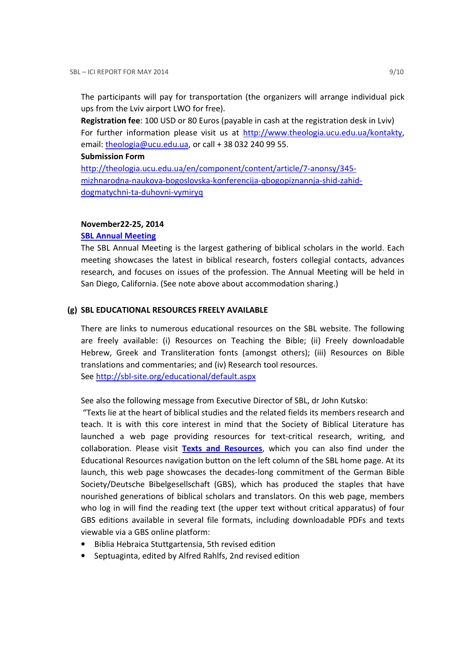The participants will pay for transportation (the organizers will arrange individual pick ups from the Lviv airport LWO for free).

Registration fee: 100 USD or 80 Euros (payable in cash at the registration desk in Lviv) For further information please visit us at http://www.theologia.ucu.edu.ua/kontakty, email: theologia@ucu.edu.ua, or call + 38 032 240 99 55.

#### Submission Form

http://theologia.ucu.edu.ua/en/component/content/article/7-anonsy/345 mizhnarodna-naukova-bogoslovska-konferencija-qbogopiznannja-shid-zahiddogmatychni-ta-duhovni-vymiryq

### November22-25, 2014

# SBL Annual Meeting

The SBL Annual Meeting is the largest gathering of biblical scholars in the world. Each meeting showcases the latest in biblical research, fosters collegial contacts, advances research, and focuses on issues of the profession. The Annual Meeting will be held in San Diego, California. (See note above about accommodation sharing.)

# (g) SBL EDUCATIONAL RESOURCES FREELY AVAILABLE

There are links to numerous educational resources on the SBL website. The following are freely available: (i) Resources on Teaching the Bible; (ii) Freely downloadable Hebrew, Greek and Transliteration fonts (amongst others); (iii) Resources on Bible translations and commentaries; and (iv) Research tool resources. See http://sbl-site.org/educational/default.aspx

See also the following message from Executive Director of SBL, dr John Kutsko:

 "Texts lie at the heart of biblical studies and the related fields its members research and teach. It is with this core interest in mind that the Society of Biblical Literature has launched a web page providing resources for text-critical research, writing, and collaboration. Please visit Texts and Resources, which you can also find under the Educational Resources navigation button on the left column of the SBL home page. At its launch, this web page showcases the decades-long commitment of the German Bible Society/Deutsche Bibelgesellschaft (GBS), which has produced the staples that have nourished generations of biblical scholars and translators. On this web page, members who log in will find the reading text (the upper text without critical apparatus) of four GBS editions available in several file formats, including downloadable PDFs and texts viewable via a GBS online platform:

- Biblia Hebraica Stuttgartensia, 5th revised edition
- Septuaginta, edited by Alfred Rahlfs, 2nd revised edition